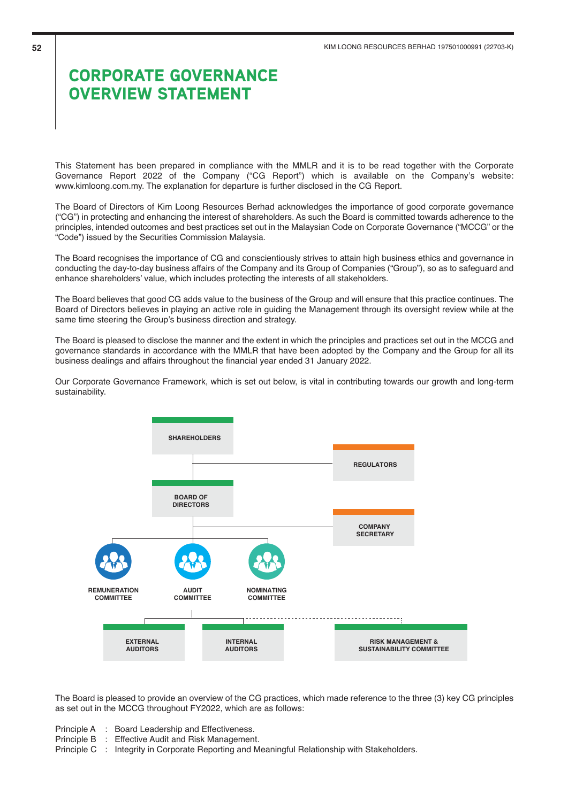This Statement has been prepared in compliance with the MMLR and it is to be read together with the Corporate Governance Report 2022 of the Company ("CG Report") which is available on the Company's website: www.kimloong.com.my. The explanation for departure is further disclosed in the CG Report.

The Board of Directors of Kim Loong Resources Berhad acknowledges the importance of good corporate governance ("CG") in protecting and enhancing the interest of shareholders. As such the Board is committed towards adherence to the principles, intended outcomes and best practices set out in the Malaysian Code on Corporate Governance ("MCCG" or the "Code") issued by the Securities Commission Malaysia.

The Board recognises the importance of CG and conscientiously strives to attain high business ethics and governance in conducting the day-to-day business affairs of the Company and its Group of Companies ("Group"), so as to safeguard and enhance shareholders' value, which includes protecting the interests of all stakeholders.

The Board believes that good CG adds value to the business of the Group and will ensure that this practice continues. The Board of Directors believes in playing an active role in guiding the Management through its oversight review while at the same time steering the Group's business direction and strategy.

The Board is pleased to disclose the manner and the extent in which the principles and practices set out in the MCCG and governance standards in accordance with the MMLR that have been adopted by the Company and the Group for all its business dealings and affairs throughout the financial year ended 31 January 2022.

Our Corporate Governance Framework, which is set out below, is vital in contributing towards our growth and long-term sustainability.



The Board is pleased to provide an overview of the CG practices, which made reference to the three (3) key CG principles as set out in the MCCG throughout FY2022, which are as follows:

- Principle A : Board Leadership and Effectiveness.
- Principle B : Effective Audit and Risk Management.
- Principle C : Integrity in Corporate Reporting and Meaningful Relationship with Stakeholders.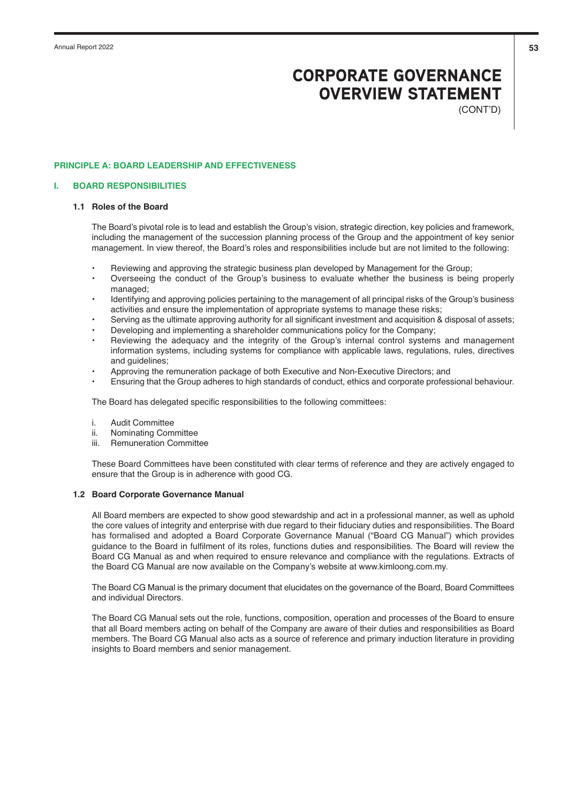(CONT'D)

### **PRINCIPLE A: BOARD LEADERSHIP AND EFFECTIVENESS**

### **I. BOARD RESPONSIBILITIES**

# **1.1 Roles of the Board**

The Board's pivotal role is to lead and establish the Group's vision, strategic direction, key policies and framework, including the management of the succession planning process of the Group and the appointment of key senior management. In view thereof, the Board's roles and responsibilities include but are not limited to the following:

- Reviewing and approving the strategic business plan developed by Management for the Group;
- Overseeing the conduct of the Group's business to evaluate whether the business is being properly managed;
- Identifying and approving policies pertaining to the management of all principal risks of the Group's business activities and ensure the implementation of appropriate systems to manage these risks;
- Serving as the ultimate approving authority for all significant investment and acquisition & disposal of assets;
- Developing and implementing a shareholder communications policy for the Company;
- Reviewing the adequacy and the integrity of the Group's internal control systems and management information systems, including systems for compliance with applicable laws, regulations, rules, directives and guidelines:
- Approving the remuneration package of both Executive and Non-Executive Directors; and
- Ensuring that the Group adheres to high standards of conduct, ethics and corporate professional behaviour.

The Board has delegated specific responsibilities to the following committees:

- i. Audit Committee
- ii. Nominating Committee
- iii. Remuneration Committee

These Board Committees have been constituted with clear terms of reference and they are actively engaged to ensure that the Group is in adherence with good CG.

## **1.2 Board Corporate Governance Manual**

All Board members are expected to show good stewardship and act in a professional manner, as well as uphold the core values of integrity and enterprise with due regard to their fiduciary duties and responsibilities. The Board has formalised and adopted a Board Corporate Governance Manual ("Board CG Manual") which provides guidance to the Board in fulfilment of its roles, functions duties and responsibilities. The Board will review the Board CG Manual as and when required to ensure relevance and compliance with the regulations. Extracts of the Board CG Manual are now available on the Company's website at www.kimloong.com.my.

The Board CG Manual is the primary document that elucidates on the governance of the Board, Board Committees and individual Directors.

The Board CG Manual sets out the role, functions, composition, operation and processes of the Board to ensure that all Board members acting on behalf of the Company are aware of their duties and responsibilities as Board members. The Board CG Manual also acts as a source of reference and primary induction literature in providing insights to Board members and senior management.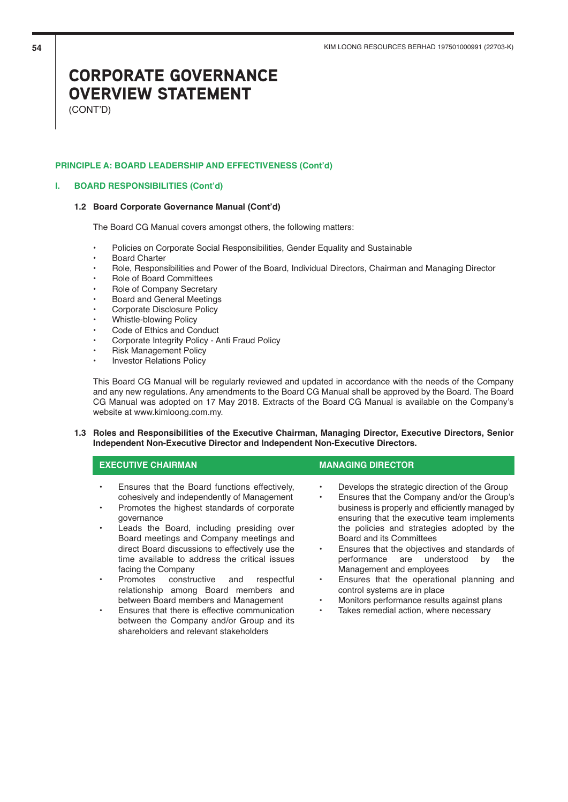(CONT'D)

## **PRINCIPLE A: BOARD LEADERSHIP AND EFFECTIVENESS (Cont'd)**

### **I. BOARD RESPONSIBILITIES (Cont'd)**

#### **1.2 Board Corporate Governance Manual (Cont'd)**

The Board CG Manual covers amongst others, the following matters:

- Policies on Corporate Social Responsibilities, Gender Equality and Sustainable
- **Board Charter**
- Role, Responsibilities and Power of the Board, Individual Directors, Chairman and Managing Director
- Role of Board Committees
- Role of Company Secretary
- Board and General Meetings
- Corporate Disclosure Policy
- Whistle-blowing Policy
- Code of Ethics and Conduct
- Corporate Integrity Policy Anti Fraud Policy

shareholders and relevant stakeholders

- Risk Management Policy
- Investor Relations Policy

This Board CG Manual will be regularly reviewed and updated in accordance with the needs of the Company and any new regulations. Any amendments to the Board CG Manual shall be approved by the Board. The Board CG Manual was adopted on 17 May 2018. Extracts of the Board CG Manual is available on the Company's website at www.kimloong.com.my.

## **1.3 Roles and Responsibilities of the Executive Chairman, Managing Director, Executive Directors, Senior Independent Non-Executive Director and Independent Non-Executive Directors.**

|                     | <b>EXECUTIVE CHAIRMAN</b>                                                                                                                                                                             | <b>MANAGING DIRECTOR</b>                                                                                                                                                                                                                     |
|---------------------|-------------------------------------------------------------------------------------------------------------------------------------------------------------------------------------------------------|----------------------------------------------------------------------------------------------------------------------------------------------------------------------------------------------------------------------------------------------|
| $\bullet$<br>٠<br>٠ | Ensures that the Board functions effectively.<br>cohesively and independently of Management<br>Promotes the highest standards of corporate<br>qovernance<br>Leads the Board, including presiding over | Develops the strategic direction of the Group<br>Ensures that the Company and/or the Group's<br>business is properly and efficiently managed by<br>ensuring that the executive team implements<br>the policies and strategies adopted by the |
|                     | Board meetings and Company meetings and<br>direct Board discussions to effectively use the<br>time available to address the critical issues<br>facing the Company                                     | Board and its Committees<br>Ensures that the objectives and standards of<br>performance are understood<br>the<br>by<br>Management and employees                                                                                              |
| $\bullet$           | Promotes constructive and<br>respectful<br>relationship among Board members and<br>between Board members and Management                                                                               | Ensures that the operational planning and<br>$\bullet$<br>control systems are in place<br>Monitors performance results against plans                                                                                                         |
| $\bullet$           | Ensures that there is effective communication<br>between the Company and/or Group and its                                                                                                             | Takes remedial action, where necessary<br>٠                                                                                                                                                                                                  |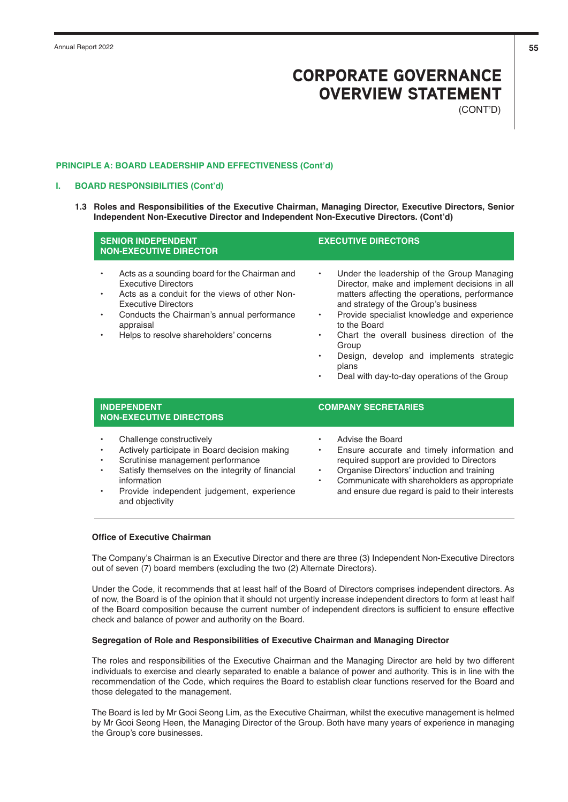(CONT'D)

## **PRINCIPLE A: BOARD LEADERSHIP AND EFFECTIVENESS (Cont'd)**

# **I. BOARD RESPONSIBILITIES (Cont'd)**

**1.3 Roles and Responsibilities of the Executive Chairman, Managing Director, Executive Directors, Senior Independent Non-Executive Director and Independent Non-Executive Directors. (Cont'd)**

| <b>SENIOR INDEPENDENT</b><br><b>NON-EXECUTIVE DIRECTOR</b>                                                                                                                                                                                                                                              | <b>EXECUTIVE DIRECTORS</b>                                                                                                                                                                                                                                                                                                                                                                                                                                                        |  |  |  |  |  |
|---------------------------------------------------------------------------------------------------------------------------------------------------------------------------------------------------------------------------------------------------------------------------------------------------------|-----------------------------------------------------------------------------------------------------------------------------------------------------------------------------------------------------------------------------------------------------------------------------------------------------------------------------------------------------------------------------------------------------------------------------------------------------------------------------------|--|--|--|--|--|
| Acts as a sounding board for the Chairman and<br><b>Executive Directors</b><br>Acts as a conduit for the views of other Non-<br>$\bullet$<br><b>Executive Directors</b><br>Conducts the Chairman's annual performance<br>$\bullet$<br>appraisal<br>Helps to resolve shareholders' concerns<br>$\bullet$ | Under the leadership of the Group Managing<br>$\bullet$<br>Director, make and implement decisions in all<br>matters affecting the operations, performance<br>and strategy of the Group's business<br>Provide specialist knowledge and experience<br>$\bullet$<br>to the Board<br>Chart the overall business direction of the<br>$\bullet$<br>Group<br>Design, develop and implements strategic<br>$\bullet$<br>plans<br>Deal with day-to-day operations of the Group<br>$\bullet$ |  |  |  |  |  |
| <b>INDEPENDENT</b><br><b>NON-EXECUTIVE DIRECTORS</b>                                                                                                                                                                                                                                                    | <b>COMPANY SECRETARIES</b>                                                                                                                                                                                                                                                                                                                                                                                                                                                        |  |  |  |  |  |
| Challenge constructively<br>$\bullet$<br>Actively participate in Board decision making<br>Scrutinise management performance<br>$\bullet$<br>Satisfy themselves on the integrity of financial<br>$\bullet$<br>information<br>Provide independent judgement, experience<br>$\bullet$<br>and objectivity   | Advise the Board<br>$\bullet$<br>Ensure accurate and timely information and<br>$\bullet$<br>required support are provided to Directors<br>Organise Directors' induction and training<br>$\bullet$<br>Communicate with shareholders as appropriate<br>$\bullet$<br>and ensure due regard is paid to their interests                                                                                                                                                                |  |  |  |  |  |

# **Office of Executive Chairman**

The Company's Chairman is an Executive Director and there are three (3) Independent Non-Executive Directors out of seven (7) board members (excluding the two (2) Alternate Directors).

Under the Code, it recommends that at least half of the Board of Directors comprises independent directors. As of now, the Board is of the opinion that it should not urgently increase independent directors to form at least half of the Board composition because the current number of independent directors is sufficient to ensure effective check and balance of power and authority on the Board.

## **Segregation of Role and Responsibilities of Executive Chairman and Managing Director**

The roles and responsibilities of the Executive Chairman and the Managing Director are held by two different individuals to exercise and clearly separated to enable a balance of power and authority. This is in line with the recommendation of the Code, which requires the Board to establish clear functions reserved for the Board and those delegated to the management.

The Board is led by Mr Gooi Seong Lim, as the Executive Chairman, whilst the executive management is helmed by Mr Gooi Seong Heen, the Managing Director of the Group. Both have many years of experience in managing the Group's core businesses.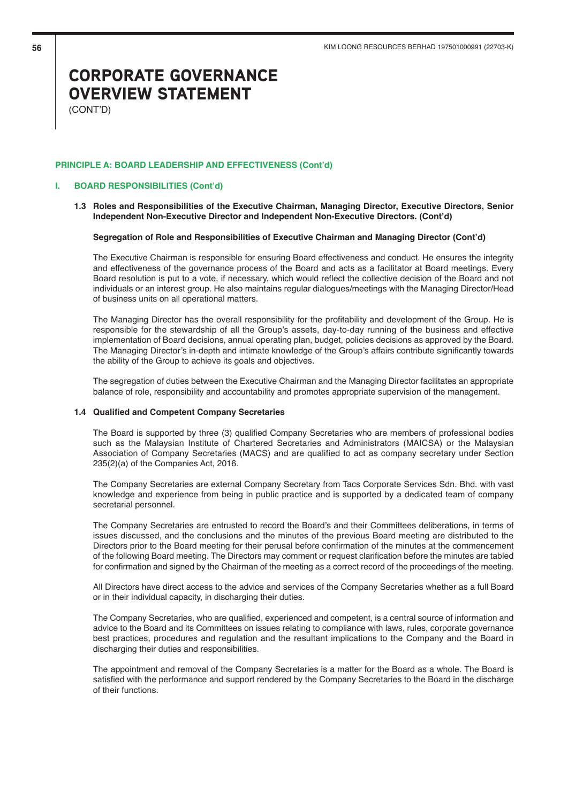(CONT'D)

### **PRINCIPLE A: BOARD LEADERSHIP AND EFFECTIVENESS (Cont'd)**

# **I. BOARD RESPONSIBILITIES (Cont'd)**

**1.3 Roles and Responsibilities of the Executive Chairman, Managing Director, Executive Directors, Senior Independent Non-Executive Director and Independent Non-Executive Directors. (Cont'd)**

### **Segregation of Role and Responsibilities of Executive Chairman and Managing Director (Cont'd)**

The Executive Chairman is responsible for ensuring Board effectiveness and conduct. He ensures the integrity and effectiveness of the governance process of the Board and acts as a facilitator at Board meetings. Every Board resolution is put to a vote, if necessary, which would reflect the collective decision of the Board and not individuals or an interest group. He also maintains regular dialogues/meetings with the Managing Director/Head of business units on all operational matters.

The Managing Director has the overall responsibility for the profitability and development of the Group. He is responsible for the stewardship of all the Group's assets, day-to-day running of the business and effective implementation of Board decisions, annual operating plan, budget, policies decisions as approved by the Board. The Managing Director's in-depth and intimate knowledge of the Group's affairs contribute significantly towards the ability of the Group to achieve its goals and objectives.

The segregation of duties between the Executive Chairman and the Managing Director facilitates an appropriate balance of role, responsibility and accountability and promotes appropriate supervision of the management.

## **1.4 Qualified and Competent Company Secretaries**

The Board is supported by three (3) qualified Company Secretaries who are members of professional bodies such as the Malaysian Institute of Chartered Secretaries and Administrators (MAICSA) or the Malaysian Association of Company Secretaries (MACS) and are qualified to act as company secretary under Section 235(2)(a) of the Companies Act, 2016.

The Company Secretaries are external Company Secretary from Tacs Corporate Services Sdn. Bhd. with vast knowledge and experience from being in public practice and is supported by a dedicated team of company secretarial personnel.

The Company Secretaries are entrusted to record the Board's and their Committees deliberations, in terms of issues discussed, and the conclusions and the minutes of the previous Board meeting are distributed to the Directors prior to the Board meeting for their perusal before confirmation of the minutes at the commencement of the following Board meeting. The Directors may comment or request clarification before the minutes are tabled for confirmation and signed by the Chairman of the meeting as a correct record of the proceedings of the meeting.

All Directors have direct access to the advice and services of the Company Secretaries whether as a full Board or in their individual capacity, in discharging their duties.

The Company Secretaries, who are qualified, experienced and competent, is a central source of information and advice to the Board and its Committees on issues relating to compliance with laws, rules, corporate governance best practices, procedures and regulation and the resultant implications to the Company and the Board in discharging their duties and responsibilities.

The appointment and removal of the Company Secretaries is a matter for the Board as a whole. The Board is satisfied with the performance and support rendered by the Company Secretaries to the Board in the discharge of their functions.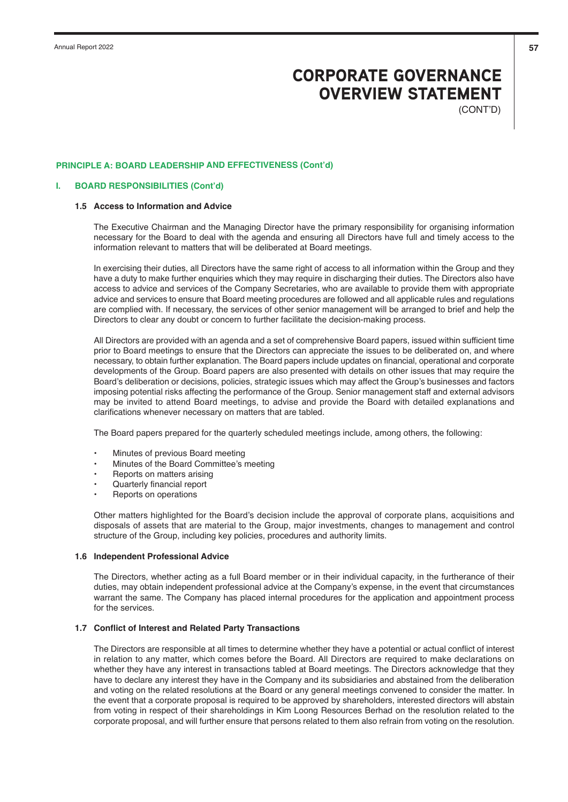(CONT'D)

### **PRINCIPLE A: BOARD LEADERSHIP AND EFFECTIVENESS (Cont'd)**

#### **I. BOARD RESPONSIBILITIES (Cont'd)**

### **1.5 Access to Information and Advice**

The Executive Chairman and the Managing Director have the primary responsibility for organising information necessary for the Board to deal with the agenda and ensuring all Directors have full and timely access to the information relevant to matters that will be deliberated at Board meetings.

In exercising their duties, all Directors have the same right of access to all information within the Group and they have a duty to make further enquiries which they may require in discharging their duties. The Directors also have access to advice and services of the Company Secretaries, who are available to provide them with appropriate advice and services to ensure that Board meeting procedures are followed and all applicable rules and regulations are complied with. If necessary, the services of other senior management will be arranged to brief and help the Directors to clear any doubt or concern to further facilitate the decision-making process.

All Directors are provided with an agenda and a set of comprehensive Board papers, issued within sufficient time prior to Board meetings to ensure that the Directors can appreciate the issues to be deliberated on, and where necessary, to obtain further explanation. The Board papers include updates on financial, operational and corporate developments of the Group. Board papers are also presented with details on other issues that may require the Board's deliberation or decisions, policies, strategic issues which may affect the Group's businesses and factors imposing potential risks affecting the performance of the Group. Senior management staff and external advisors may be invited to attend Board meetings, to advise and provide the Board with detailed explanations and clarifications whenever necessary on matters that are tabled.

The Board papers prepared for the quarterly scheduled meetings include, among others, the following:

- •Minutes of previous Board meeting
- •Minutes of the Board Committee's meeting
- •Reports on matters arising
- •Quarterly financial report
- •Reports on operations

Other matters highlighted for the Board's decision include the approval of corporate plans, acquisitions and disposals of assets that are material to the Group, major investments, changes to management and control structure of the Group, including key policies, procedures and authority limits.

# **1.6 Independent Professional Advice**

The Directors, whether acting as a full Board member or in their individual capacity, in the furtherance of their duties, may obtain independent professional advice at the Company's expense, in the event that circumstances warrant the same. The Company has placed internal procedures for the application and appointment process for the services.

### **1.7 Conflict of Interest and Related Party Transactions**

The Directors are responsible at all times to determine whether they have a potential or actual conflict of interest in relation to any matter, which comes before the Board. All Directors are required to make declarations on whether they have any interest in transactions tabled at Board meetings. The Directors acknowledge that they have to declare any interest they have in the Company and its subsidiaries and abstained from the deliberation and voting on the related resolutions at the Board or any general meetings convened to consider the matter. In the event that a corporate proposal is required to be approved by shareholders, interested directors will abstain from voting in respect of their shareholdings in Kim Loong Resources Berhad on the resolution related to the corporate proposal, and will further ensure that persons related to them also refrain from voting on the resolution.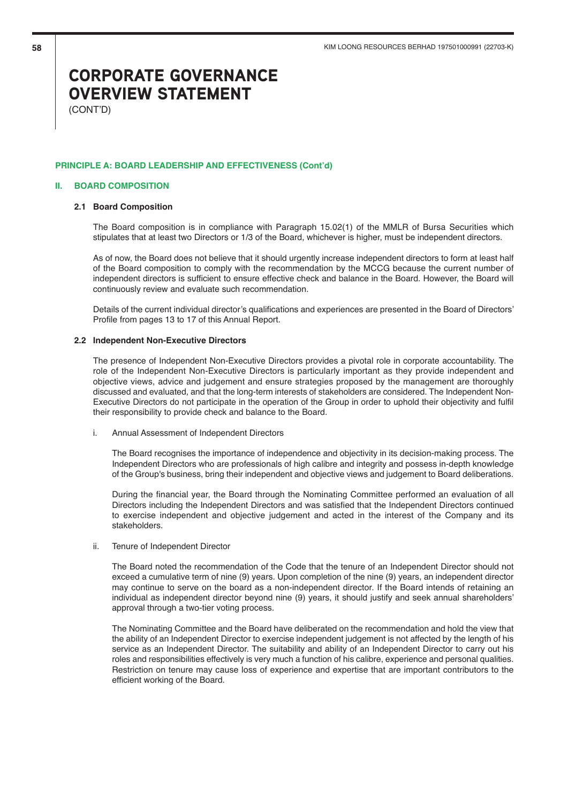(CONT'D)

### **PRINCIPLE A: BOARD LEADERSHIP AND EFFECTIVENESS (Cont'd)**

### **II. BOARD COMPOSITION**

## **2.1 Board Composition**

The Board composition is in compliance with Paragraph 15.02(1) of the MMLR of Bursa Securities which stipulates that at least two Directors or 1/3 of the Board, whichever is higher, must be independent directors.

As of now, the Board does not believe that it should urgently increase independent directors to form at least half of the Board composition to comply with the recommendation by the MCCG because the current number of independent directors is sufficient to ensure effective check and balance in the Board. However, the Board will continuously review and evaluate such recommendation.

Details of the current individual director's qualifications and experiences are presented in the Board of Directors' Profile from pages 13 to 17 of this Annual Report.

### **2.2 Independent Non-Executive Directors**

The presence of Independent Non-Executive Directors provides a pivotal role in corporate accountability. The role of the Independent Non-Executive Directors is particularly important as they provide independent and objective views, advice and judgement and ensure strategies proposed by the management are thoroughly discussed and evaluated, and that the long-term interests of stakeholders are considered. The Independent Non-Executive Directors do not participate in the operation of the Group in order to uphold their objectivity and fulfil their responsibility to provide check and balance to the Board.

i. Annual Assessment of Independent Directors

The Board recognises the importance of independence and objectivity in its decision-making process. The Independent Directors who are professionals of high calibre and integrity and possess in-depth knowledge of the Group's business, bring their independent and objective views and judgement to Board deliberations.

During the financial year, the Board through the Nominating Committee performed an evaluation of all Directors including the Independent Directors and was satisfied that the Independent Directors continued to exercise independent and objective judgement and acted in the interest of the Company and its stakeholders.

ii. Tenure of Independent Director

The Board noted the recommendation of the Code that the tenure of an Independent Director should not exceed a cumulative term of nine (9) years. Upon completion of the nine (9) years, an independent director may continue to serve on the board as a non-independent director. If the Board intends of retaining an individual as independent director beyond nine (9) years, it should justify and seek annual shareholders' approval through a two-tier voting process.

The Nominating Committee and the Board have deliberated on the recommendation and hold the view that the ability of an Independent Director to exercise independent judgement is not affected by the length of his service as an Independent Director. The suitability and ability of an Independent Director to carry out his roles and responsibilities effectively is very much a function of his calibre, experience and personal qualities. Restriction on tenure may cause loss of experience and expertise that are important contributors to the efficient working of the Board.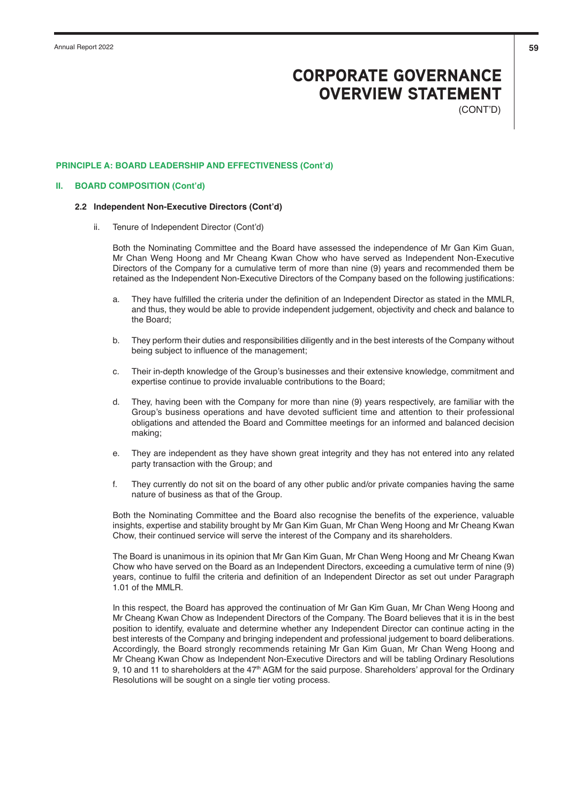(CONT'D)

### **PRINCIPLE A: BOARD LEADERSHIP AND EFFECTIVENESS (Cont'd)**

### **II. BOARD COMPOSITION (Cont'd)**

#### **2.2 Independent Non-Executive Directors (Cont'd)**

ii. Tenure of Independent Director (Cont'd)

Both the Nominating Committee and the Board have assessed the independence of Mr Gan Kim Guan, Mr Chan Weng Hoong and Mr Cheang Kwan Chow who have served as Independent Non-Executive Directors of the Company for a cumulative term of more than nine (9) years and recommended them be retained as the Independent Non-Executive Directors of the Company based on the following justifications:

- a. They have fulfilled the criteria under the definition of an Independent Director as stated in the MMLR, and thus, they would be able to provide independent judgement, objectivity and check and balance to the Board;
- b. They perform their duties and responsibilities diligently and in the best interests of the Company without being subject to influence of the management;
- c. Their in-depth knowledge of the Group's businesses and their extensive knowledge, commitment and expertise continue to provide invaluable contributions to the Board;
- d. They, having been with the Company for more than nine (9) years respectively, are familiar with the Group's business operations and have devoted sufficient time and attention to their professional obligations and attended the Board and Committee meetings for an informed and balanced decision making;
- e. They are independent as they have shown great integrity and they has not entered into any related party transaction with the Group; and
- f. They currently do not sit on the board of any other public and/or private companies having the same nature of business as that of the Group.

Both the Nominating Committee and the Board also recognise the benefits of the experience, valuable insights, expertise and stability brought by Mr Gan Kim Guan, Mr Chan Weng Hoong and Mr Cheang Kwan Chow, their continued service will serve the interest of the Company and its shareholders.

The Board is unanimous in its opinion that Mr Gan Kim Guan, Mr Chan Weng Hoong and Mr Cheang Kwan Chow who have served on the Board as an Independent Directors, exceeding a cumulative term of nine (9) years, continue to fulfil the criteria and definition of an Independent Director as set out under Paragraph 1.01 of the MMLR.

In this respect, the Board has approved the continuation of Mr Gan Kim Guan, Mr Chan Weng Hoong and Mr Cheang Kwan Chow as Independent Directors of the Company. The Board believes that it is in the best position to identify, evaluate and determine whether any Independent Director can continue acting in the best interests of the Company and bringing independent and professional judgement to board deliberations. Accordingly, the Board strongly recommends retaining Mr Gan Kim Guan, Mr Chan Weng Hoong and Mr Cheang Kwan Chow as Independent Non-Executive Directors and will be tabling Ordinary Resolutions 9, 10 and 11 to shareholders at the  $47<sup>th</sup>$  AGM for the said purpose. Shareholders' approval for the Ordinary Resolutions will be sought on a single tier voting process.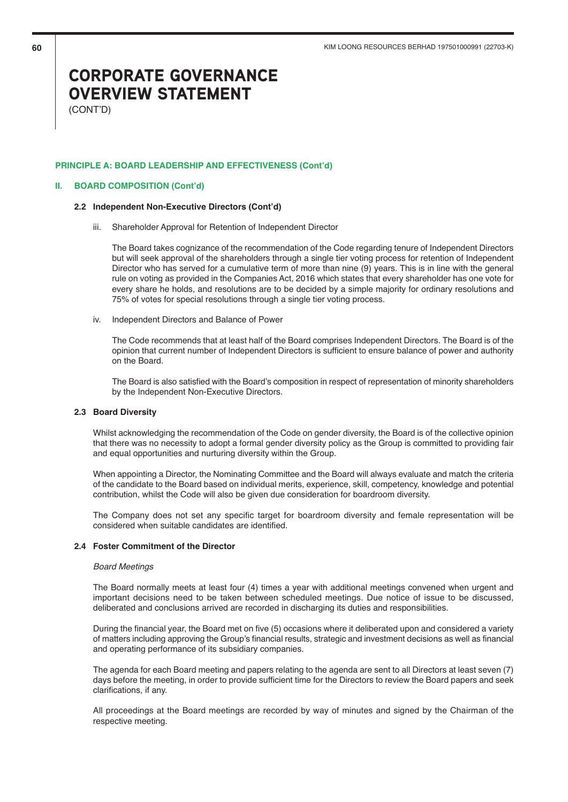(CONT'D)

### **PRINCIPLE A: BOARD LEADERSHIP AND EFFECTIVENESS (Cont'd)**

### **II. BOARD COMPOSITION (Cont'd)**

#### **2.2 Independent Non-Executive Directors (Cont'd)**

iii. Shareholder Approval for Retention of Independent Director

The Board takes cognizance of the recommendation of the Code regarding tenure of Independent Directors but will seek approval of the shareholders through a single tier voting process for retention of Independent Director who has served for a cumulative term of more than nine (9) years. This is in line with the general rule on voting as provided in the Companies Act, 2016 which states that every shareholder has one vote for every share he holds, and resolutions are to be decided by a simple majority for ordinary resolutions and 75% of votes for special resolutions through a single tier voting process.

iv. Independent Directors and Balance of Power

The Code recommends that at least half of the Board comprises Independent Directors. The Board is of the opinion that current number of Independent Directors is sufficient to ensure balance of power and authority on the Board.

The Board is also satisfied with the Board's composition in respect of representation of minority shareholders by the Independent Non-Executive Directors.

# **2.3 Board Diversity**

Whilst acknowledging the recommendation of the Code on gender diversity, the Board is of the collective opinion that there was no necessity to adopt a formal gender diversity policy as the Group is committed to providing fair and equal opportunities and nurturing diversity within the Group.

When appointing a Director, the Nominating Committee and the Board will always evaluate and match the criteria of the candidate to the Board based on individual merits, experience, skill, competency, knowledge and potential contribution, whilst the Code will also be given due consideration for boardroom diversity.

The Company does not set any specific target for boardroom diversity and female representation will be considered when suitable candidates are identified.

# **2.4 Foster Commitment of the Director**

### Board Meetings

The Board normally meets at least four (4) times a year with additional meetings convened when urgent and important decisions need to be taken between scheduled meetings. Due notice of issue to be discussed, deliberated and conclusions arrived are recorded in discharging its duties and responsibilities.

During the financial year, the Board met on five (5) occasions where it deliberated upon and considered a variety of matters including approving the Group's financial results, strategic and investment decisions as well as financial and operating performance of its subsidiary companies.

The agenda for each Board meeting and papers relating to the agenda are sent to all Directors at least seven (7) days before the meeting, in order to provide sufficient time for the Directors to review the Board papers and seek clarifications, if any.

All proceedings at the Board meetings are recorded by way of minutes and signed by the Chairman of the respective meeting.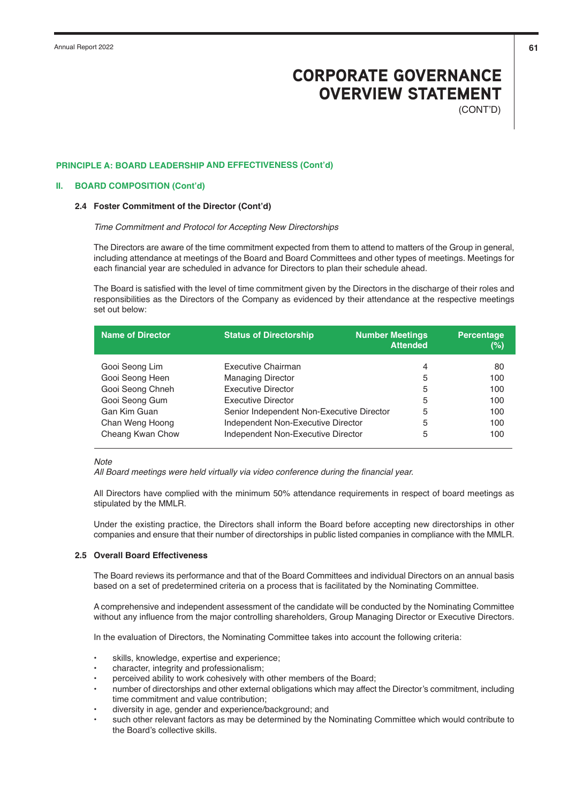(CONT'D)

## **PRINCIPLE A: BOARD LEADERSHIP AND EFFECTIVENESS (Cont'd)**

### **II. BOARD COMPOSITION (Cont'd)**

#### **2.4 Foster Commitment of the Director (Cont'd)**

#### Time Commitment and Protocol for Accepting New Directorships

The Directors are aware of the time commitment expected from them to attend to matters of the Group in general, including attendance at meetings of the Board and Board Committees and other types of meetings. Meetings for each financial year are scheduled in advance for Directors to plan their schedule ahead.

The Board is satisfied with the level of time commitment given by the Directors in the discharge of their roles and responsibilities as the Directors of the Company as evidenced by their attendance at the respective meetings set out below:

| <b>Name of Director</b> | <b>Status of Directorship</b>             | <b>Number Meetings</b><br><b>Attended</b> | Percentage<br>(%) |
|-------------------------|-------------------------------------------|-------------------------------------------|-------------------|
| Gooi Seong Lim          | Executive Chairman                        | 4                                         | 80                |
| Gooi Seong Heen         | <b>Managing Director</b>                  | 5                                         | 100               |
| Gooi Seong Chneh        | <b>Executive Director</b>                 | 5                                         | 100               |
| Gooi Seong Gum          | Executive Director                        | 5                                         | 100               |
| Gan Kim Guan            | Senior Independent Non-Executive Director | 5                                         | 100               |
| Chan Weng Hoong         | Independent Non-Executive Director        | 5                                         | 100               |
| Cheang Kwan Chow        | Independent Non-Executive Director        | 5                                         | 100               |

#### **Note**

All Board meetings were held virtually via video conference during the financial year.

All Directors have complied with the minimum 50% attendance requirements in respect of board meetings as stipulated by the MMLR.

Under the existing practice, the Directors shall inform the Board before accepting new directorships in other companies and ensure that their number of directorships in public listed companies in compliance with the MMLR.

## **2.5 Overall Board Effectiveness**

The Board reviews its performance and that of the Board Committees and individual Directors on an annual basis based on a set of predetermined criteria on a process that is facilitated by the Nominating Committee.

A comprehensive and independent assessment of the candidate will be conducted by the Nominating Committee without any influence from the major controlling shareholders, Group Managing Director or Executive Directors.

In the evaluation of Directors, the Nominating Committee takes into account the following criteria:

- skills, knowledge, expertise and experience;
- character, integrity and professionalism;
- perceived ability to work cohesively with other members of the Board;
- number of directorships and other external obligations which may affect the Director's commitment, including time commitment and value contribution;
- diversity in age, gender and experience/background; and
- such other relevant factors as may be determined by the Nominating Committee which would contribute to the Board's collective skills.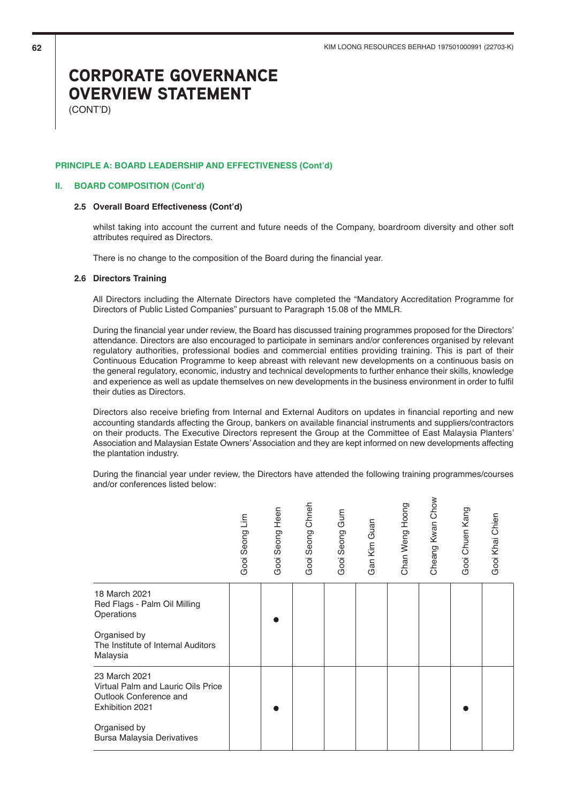$\overline{\phantom{0}}$ 

# CORPORATE GOVERNANCE OVERVIEW STATEMENT

(CONT'D)

#### **PRINCIPLE A: BOARD LEADERSHIP AND EFFECTIVENESS (Cont'd)**

### **II. BOARD COMPOSITION (Cont'd)**

### **2.5 Overall Board Effectiveness (Cont'd)**

whilst taking into account the current and future needs of the Company, boardroom diversity and other soft attributes required as Directors.

There is no change to the composition of the Board during the financial year.

### **2.6 Directors Training**

All Directors including the Alternate Directors have completed the "Mandatory Accreditation Programme for Directors of Public Listed Companies" pursuant to Paragraph 15.08 of the MMLR.

During the financial year under review, the Board has discussed training programmes proposed for the Directors' attendance. Directors are also encouraged to participate in seminars and/or conferences organised by relevant regulatory authorities, professional bodies and commercial entities providing training. This is part of their Continuous Education Programme to keep abreast with relevant new developments on a continuous basis on the general regulatory, economic, industry and technical developments to further enhance their skills, knowledge and experience as well as update themselves on new developments in the business environment in order to fulfil their duties as Directors.

Directors also receive briefing from Internal and External Auditors on updates in financial reporting and new accounting standards affecting the Group, bankers on available financial instruments and suppliers/contractors on their products. The Executive Directors represent the Group at the Committee of East Malaysia Planters' Association and Malaysian Estate Owners' Association and they are kept informed on new developments affecting the plantation industry.

During the financial year under review, the Directors have attended the following training programmes/courses and/or conferences listed below:

| im<br>Gooi Seong | Heen<br>Gooi Seong | Chneh<br>Gooi Seong | Gum<br>Gooi Seong | Gan Kim Guan | Chan Weng Hoong | Cheang Kwan Chow | Gooi Chuen Kang | Gooi Khai Chien |
|------------------|--------------------|---------------------|-------------------|--------------|-----------------|------------------|-----------------|-----------------|
|                  |                    |                     |                   |              |                 |                  |                 |                 |
|                  |                    |                     |                   |              |                 |                  |                 |                 |
|                  |                    |                     |                   |              |                 |                  |                 |                 |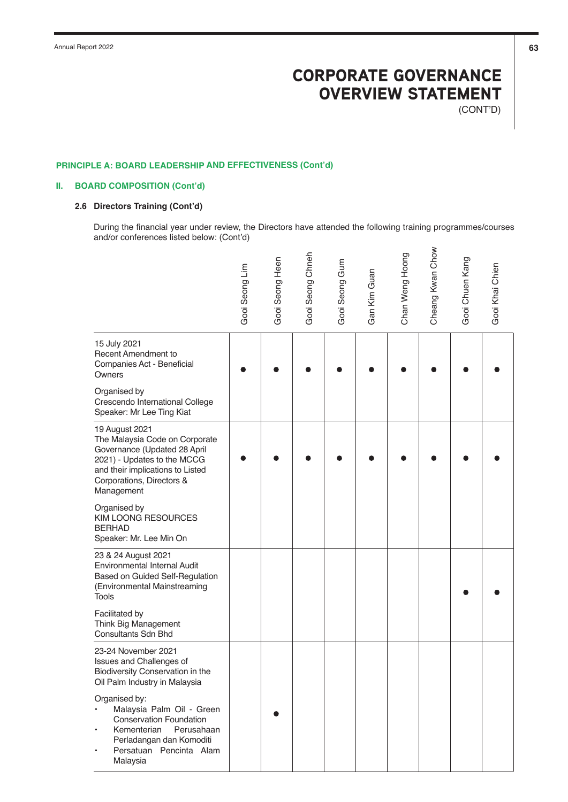(CONT'D)

# **PRINCIPLE A: BOARD LEADERSHIP AND EFFECTIVENESS (Cont'd)**

# **II. BOARD COMPOSITION (Cont'd)**

# **2.6 Directors Training (Cont'd)**

During the financial year under review, the Directors have attended the following training programmes/courses and/or conferences listed below: (Cont'd)

|                                                                                                                                                                                                | Seong Lim<br>Gooi | Seong Heen<br>Gooi | Gooi Seong Chneh | Gooi Seong Gum | Gan Kim Guan | Chan Weng Hoong | Cheang Kwan Chow | Gooi Chuen Kang | Gooi Khai Chien |
|------------------------------------------------------------------------------------------------------------------------------------------------------------------------------------------------|-------------------|--------------------|------------------|----------------|--------------|-----------------|------------------|-----------------|-----------------|
| 15 July 2021<br><b>Recent Amendment to</b><br>Companies Act - Beneficial<br>Owners                                                                                                             |                   |                    |                  |                |              |                 |                  |                 |                 |
| Organised by<br>Crescendo International College<br>Speaker: Mr Lee Ting Kiat                                                                                                                   |                   |                    |                  |                |              |                 |                  |                 |                 |
| 19 August 2021<br>The Malaysia Code on Corporate<br>Governance (Updated 28 April<br>2021) - Updates to the MCCG<br>and their implications to Listed<br>Corporations, Directors &<br>Management |                   |                    |                  |                |              |                 |                  |                 |                 |
| Organised by<br><b>KIM LOONG RESOURCES</b><br><b>BERHAD</b><br>Speaker: Mr. Lee Min On                                                                                                         |                   |                    |                  |                |              |                 |                  |                 |                 |
| 23 & 24 August 2021<br>Environmental Internal Audit<br>Based on Guided Self-Regulation<br>(Environmental Mainstreaming<br><b>Tools</b>                                                         |                   |                    |                  |                |              |                 |                  |                 |                 |
| Facilitated by<br>Think Big Management<br><b>Consultants Sdn Bhd</b>                                                                                                                           |                   |                    |                  |                |              |                 |                  |                 |                 |
| 23-24 November 2021<br>Issues and Challenges of<br>Biodiversity Conservation in the<br>Oil Palm Industry in Malaysia                                                                           |                   |                    |                  |                |              |                 |                  |                 |                 |
| Organised by:<br>Malaysia Palm Oil - Green<br><b>Conservation Foundation</b><br>Kementerian<br>Perusahaan<br>Perladangan dan Komoditi<br>Persatuan Pencinta Alam<br>Malaysia                   |                   |                    |                  |                |              |                 |                  |                 |                 |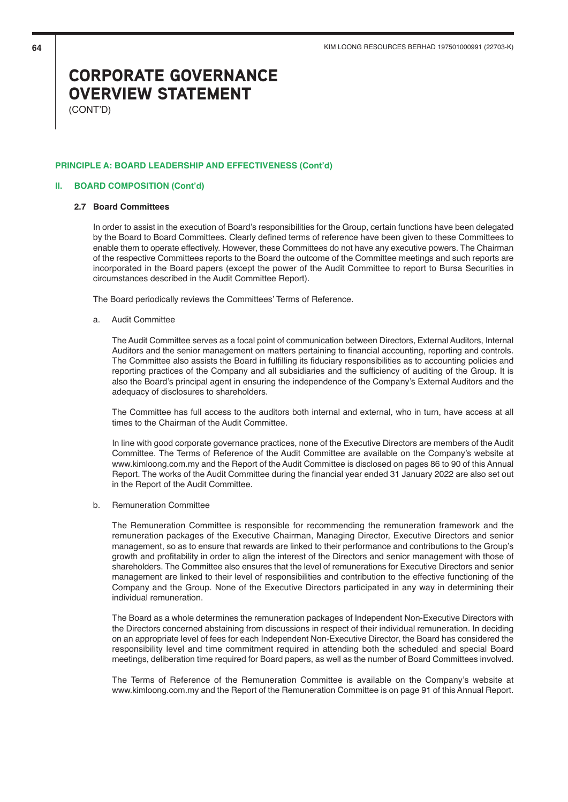(CONT'D)

## **PRINCIPLE A: BOARD LEADERSHIP AND EFFECTIVENESS (Cont'd)**

### **II. BOARD COMPOSITION (Cont'd)**

#### **2.7 Board Committees**

In order to assist in the execution of Board's responsibilities for the Group, certain functions have been delegated by the Board to Board Committees. Clearly defined terms of reference have been given to these Committees to enable them to operate effectively. However, these Committees do not have any executive powers. The Chairman of the respective Committees reports to the Board the outcome of the Committee meetings and such reports are incorporated in the Board papers (except the power of the Audit Committee to report to Bursa Securities in circumstances described in the Audit Committee Report).

The Board periodically reviews the Committees' Terms of Reference.

a. Audit Committee

 The Audit Committee serves as a focal point of communication between Directors, External Auditors, Internal Auditors and the senior management on matters pertaining to financial accounting, reporting and controls. The Committee also assists the Board in fulfilling its fiduciary responsibilities as to accounting policies and reporting practices of the Company and all subsidiaries and the sufficiency of auditing of the Group. It is also the Board's principal agent in ensuring the independence of the Company's External Auditors and the adequacy of disclosures to shareholders.

 The Committee has full access to the auditors both internal and external, who in turn, have access at all times to the Chairman of the Audit Committee.

 In line with good corporate governance practices, none of the Executive Directors are members of the Audit Committee. The Terms of Reference of the Audit Committee are available on the Company's website at www.kimloong.com.my and the Report of the Audit Committee is disclosed on pages 86 to 90 of this Annual Report. The works of the Audit Committee during the financial year ended 31 January 2022 are also set out in the Report of the Audit Committee.

b. Remuneration Committee

 The Remuneration Committee is responsible for recommending the remuneration framework and the remuneration packages of the Executive Chairman, Managing Director, Executive Directors and senior management, so as to ensure that rewards are linked to their performance and contributions to the Group's growth and profitability in order to align the interest of the Directors and senior management with those of shareholders. The Committee also ensures that the level of remunerations for Executive Directors and senior management are linked to their level of responsibilities and contribution to the effective functioning of the Company and the Group. None of the Executive Directors participated in any way in determining their individual remuneration.

 The Board as a whole determines the remuneration packages of Independent Non-Executive Directors with the Directors concerned abstaining from discussions in respect of their individual remuneration. In deciding on an appropriate level of fees for each Independent Non-Executive Director, the Board has considered the responsibility level and time commitment required in attending both the scheduled and special Board meetings, deliberation time required for Board papers, as well as the number of Board Committees involved.

 The Terms of Reference of the Remuneration Committee is available on the Company's website at www.kimloong.com.my and the Report of the Remuneration Committee is on page 91 of this Annual Report.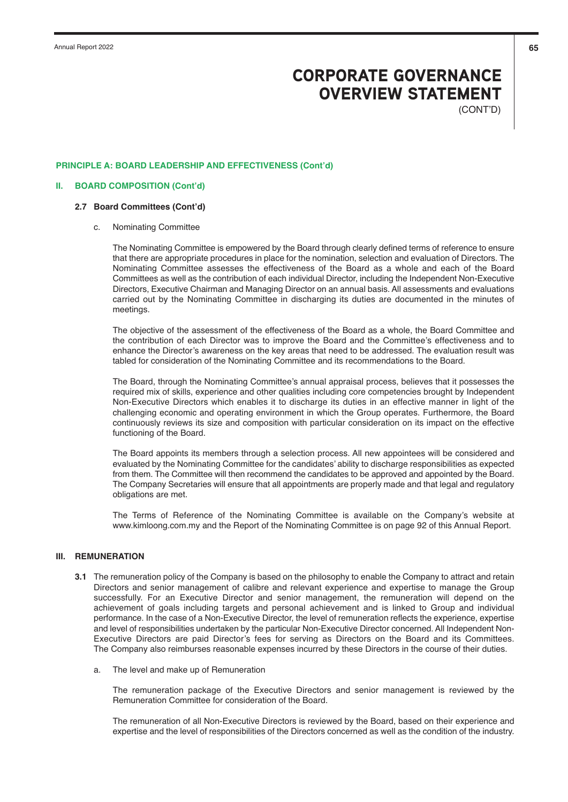(CONT'D)

## **PRINCIPLE A: BOARD LEADERSHIP AND EFFECTIVENESS (Cont'd)**

#### **II. BOARD COMPOSITION (Cont'd)**

## **2.7 Board Committees (Cont'd)**

c. Nominating Committee

 The Nominating Committee is empowered by the Board through clearly defined terms of reference to ensure that there are appropriate procedures in place for the nomination, selection and evaluation of Directors. The Nominating Committee assesses the effectiveness of the Board as a whole and each of the Board Committees as well as the contribution of each individual Director, including the Independent Non-Executive Directors, Executive Chairman and Managing Director on an annual basis. All assessments and evaluations carried out by the Nominating Committee in discharging its duties are documented in the minutes of meetings.

 The objective of the assessment of the effectiveness of the Board as a whole, the Board Committee and the contribution of each Director was to improve the Board and the Committee's effectiveness and to enhance the Director's awareness on the key areas that need to be addressed. The evaluation result was tabled for consideration of the Nominating Committee and its recommendations to the Board.

 The Board, through the Nominating Committee's annual appraisal process, believes that it possesses the required mix of skills, experience and other qualities including core competencies brought by Independent Non-Executive Directors which enables it to discharge its duties in an effective manner in light of the challenging economic and operating environment in which the Group operates. Furthermore, the Board continuously reviews its size and composition with particular consideration on its impact on the effective functioning of the Board.

 The Board appoints its members through a selection process. All new appointees will be considered and evaluated by the Nominating Committee for the candidates' ability to discharge responsibilities as expected from them. The Committee will then recommend the candidates to be approved and appointed by the Board. The Company Secretaries will ensure that all appointments are properly made and that legal and regulatory obligations are met.

 The Terms of Reference of the Nominating Committee is available on the Company's website at www.kimloong.com.my and the Report of the Nominating Committee is on page 92 of this Annual Report.

## **III. REMUNERATION**

- **3.1** The remuneration policy of the Company is based on the philosophy to enable the Company to attract and retain Directors and senior management of calibre and relevant experience and expertise to manage the Group successfully. For an Executive Director and senior management, the remuneration will depend on the achievement of goals including targets and personal achievement and is linked to Group and individual performance. In the case of a Non-Executive Director, the level of remuneration reflects the experience, expertise and level of responsibilities undertaken by the particular Non-Executive Director concerned. All Independent Non-Executive Directors are paid Director's fees for serving as Directors on the Board and its Committees. The Company also reimburses reasonable expenses incurred by these Directors in the course of their duties.
	- a. The level and make up of Remuneration

 The remuneration package of the Executive Directors and senior management is reviewed by the Remuneration Committee for consideration of the Board.

 The remuneration of all Non-Executive Directors is reviewed by the Board, based on their experience and expertise and the level of responsibilities of the Directors concerned as well as the condition of the industry.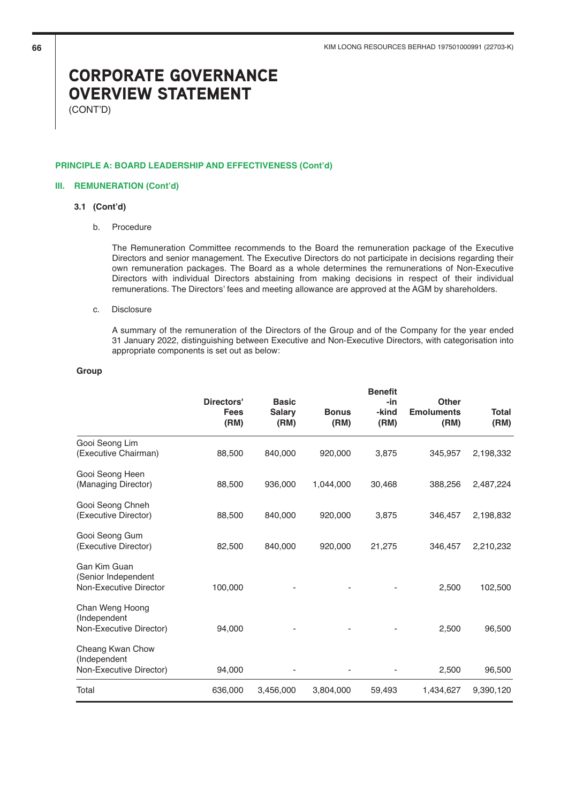(CONT'D)

## **PRINCIPLE A: BOARD LEADERSHIP AND EFFECTIVENESS (Cont'd)**

## **III. REMUNERATION (Cont'd)**

# **3.1 (Cont'd)**

b. Procedure

 The Remuneration Committee recommends to the Board the remuneration package of the Executive Directors and senior management. The Executive Directors do not participate in decisions regarding their own remuneration packages. The Board as a whole determines the remunerations of Non-Executive Directors with individual Directors abstaining from making decisions in respect of their individual remunerations. The Directors' fees and meeting allowance are approved at the AGM by shareholders.

#### c. Disclosure

 A summary of the remuneration of the Directors of the Group and of the Company for the year ended 31 January 2022, distinguishing between Executive and Non-Executive Directors, with categorisation into appropriate components is set out as below:

## **Group**

|                                                               | Directors'<br><b>Fees</b><br>(RM) | <b>Basic</b><br><b>Salary</b><br>(RM) | <b>Bonus</b><br>(RM) | <b>Benefit</b><br>-in<br>-kind<br>(RM) | <b>Other</b><br><b>Emoluments</b><br>(RM) | <b>Total</b><br>(RM) |
|---------------------------------------------------------------|-----------------------------------|---------------------------------------|----------------------|----------------------------------------|-------------------------------------------|----------------------|
| Gooi Seong Lim<br>(Executive Chairman)                        | 88,500                            | 840,000                               | 920,000              | 3,875                                  | 345,957                                   | 2,198,332            |
| Gooi Seong Heen<br>(Managing Director)                        | 88,500                            | 936,000                               | 1,044,000            | 30,468                                 | 388,256                                   | 2,487,224            |
| Gooi Seong Chneh<br>(Executive Director)                      | 88,500                            | 840,000                               | 920,000              | 3,875                                  | 346,457                                   | 2,198,832            |
| Gooi Seong Gum<br>(Executive Director)                        | 82,500                            | 840,000                               | 920,000              | 21,275                                 | 346,457                                   | 2,210,232            |
| Gan Kim Guan<br>(Senior Independent<br>Non-Executive Director | 100,000                           |                                       |                      |                                        | 2,500                                     | 102,500              |
| Chan Weng Hoong<br>(Independent)<br>Non-Executive Director)   | 94,000                            |                                       |                      |                                        | 2,500                                     | 96,500               |
| Cheang Kwan Chow<br>(Independent<br>Non-Executive Director)   | 94,000                            |                                       |                      |                                        | 2,500                                     | 96,500               |
| Total                                                         | 636,000                           | 3,456,000                             | 3,804,000            | 59,493                                 | 1,434,627                                 | 9,390,120            |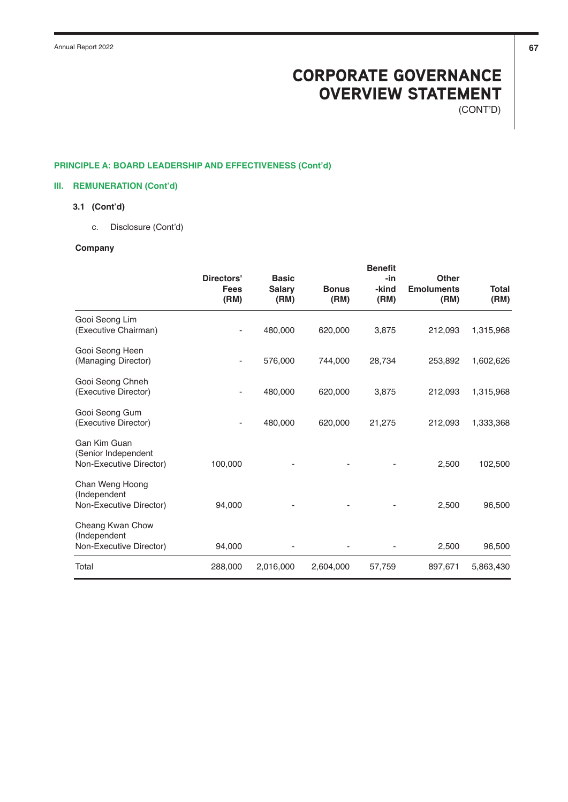(CONT'D)

# **PRINCIPLE A: BOARD LEADERSHIP AND EFFECTIVENESS (Cont'd)**

# **III. REMUNERATION (Cont'd)**

# **3.1 (Cont'd)**

c. Disclosure (Cont'd)

# **Company**

|                                                                | Directors'<br><b>Fees</b><br>(RM) | <b>Basic</b><br><b>Salary</b><br>(RM) | <b>Bonus</b><br>(RM) | <b>Benefit</b><br>-in<br>-kind<br>(RM) | <b>Other</b><br><b>Emoluments</b><br>(RM) | <b>Total</b><br>(RM) |
|----------------------------------------------------------------|-----------------------------------|---------------------------------------|----------------------|----------------------------------------|-------------------------------------------|----------------------|
| Gooi Seong Lim<br>(Executive Chairman)                         |                                   | 480,000                               | 620,000              | 3,875                                  | 212,093                                   | 1,315,968            |
| Gooi Seong Heen<br>(Managing Director)                         |                                   | 576,000                               | 744,000              | 28,734                                 | 253,892                                   | 1,602,626            |
| Gooi Seong Chneh<br>(Executive Director)                       |                                   | 480,000                               | 620,000              | 3,875                                  | 212,093                                   | 1,315,968            |
| Gooi Seong Gum<br>(Executive Director)                         |                                   | 480,000                               | 620,000              | 21,275                                 | 212,093                                   | 1,333,368            |
| Gan Kim Guan<br>(Senior Independent<br>Non-Executive Director) | 100,000                           |                                       |                      |                                        | 2,500                                     | 102,500              |
| Chan Weng Hoong<br>(Independent<br>Non-Executive Director)     | 94,000                            |                                       |                      |                                        | 2,500                                     | 96,500               |
| Cheang Kwan Chow<br>(Independent<br>Non-Executive Director)    | 94,000                            |                                       |                      |                                        | 2,500                                     | 96,500               |
| Total                                                          | 288,000                           | 2,016,000                             | 2,604,000            | 57,759                                 | 897,671                                   | 5,863,430            |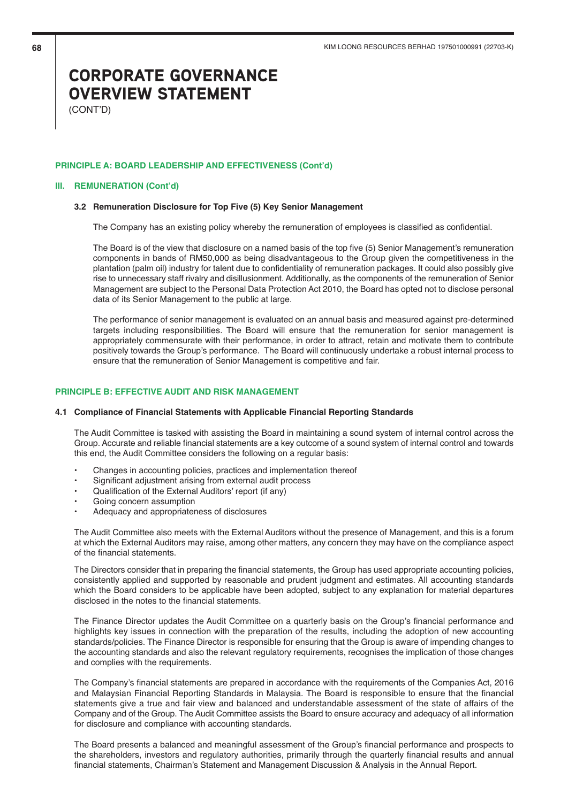(CONT'D)

## **PRINCIPLE A: BOARD LEADERSHIP AND EFFECTIVENESS (Cont'd)**

### **III. REMUNERATION (Cont'd)**

#### **3.2 Remuneration Disclosure for Top Five (5) Key Senior Management**

The Company has an existing policy whereby the remuneration of employees is classified as confidential.

The Board is of the view that disclosure on a named basis of the top five (5) Senior Management's remuneration components in bands of RM50,000 as being disadvantageous to the Group given the competitiveness in the plantation (palm oil) industry for talent due to confidentiality of remuneration packages. It could also possibly give rise to unnecessary staff rivalry and disillusionment. Additionally, as the components of the remuneration of Senior Management are subject to the Personal Data Protection Act 2010, the Board has opted not to disclose personal data of its Senior Management to the public at large.

The performance of senior management is evaluated on an annual basis and measured against pre-determined targets including responsibilities. The Board will ensure that the remuneration for senior management is appropriately commensurate with their performance, in order to attract, retain and motivate them to contribute positively towards the Group's performance. The Board will continuously undertake a robust internal process to ensure that the remuneration of Senior Management is competitive and fair.

# **PRINCIPLE B: EFFECTIVE AUDIT AND RISK MANAGEMENT**

# **4.1 Compliance of Financial Statements with Applicable Financial Reporting Standards**

The Audit Committee is tasked with assisting the Board in maintaining a sound system of internal control across the Group. Accurate and reliable financial statements are a key outcome of a sound system of internal control and towards this end, the Audit Committee considers the following on a regular basis:

- Changes in accounting policies, practices and implementation thereof
- Significant adjustment arising from external audit process
- Qualification of the External Auditors' report (if any)
- Going concern assumption
- Adequacy and appropriateness of disclosures

The Audit Committee also meets with the External Auditors without the presence of Management, and this is a forum at which the External Auditors may raise, among other matters, any concern they may have on the compliance aspect of the financial statements.

The Directors consider that in preparing the financial statements, the Group has used appropriate accounting policies, consistently applied and supported by reasonable and prudent judgment and estimates. All accounting standards which the Board considers to be applicable have been adopted, subject to any explanation for material departures disclosed in the notes to the financial statements.

The Finance Director updates the Audit Committee on a quarterly basis on the Group's financial performance and highlights key issues in connection with the preparation of the results, including the adoption of new accounting standards/policies. The Finance Director is responsible for ensuring that the Group is aware of impending changes to the accounting standards and also the relevant regulatory requirements, recognises the implication of those changes and complies with the requirements.

The Company's financial statements are prepared in accordance with the requirements of the Companies Act, 2016 and Malaysian Financial Reporting Standards in Malaysia. The Board is responsible to ensure that the financial statements give a true and fair view and balanced and understandable assessment of the state of affairs of the Company and of the Group. The Audit Committee assists the Board to ensure accuracy and adequacy of all information for disclosure and compliance with accounting standards.

The Board presents a balanced and meaningful assessment of the Group's financial performance and prospects to the shareholders, investors and regulatory authorities, primarily through the quarterly financial results and annual financial statements, Chairman's Statement and Management Discussion & Analysis in the Annual Report.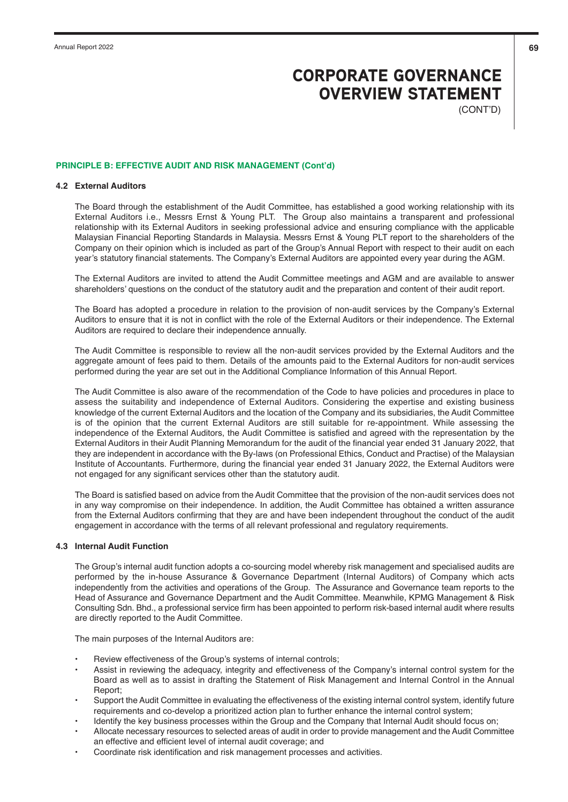(CONT'D)

### **PRINCIPLE B: EFFECTIVE AUDIT AND RISK MANAGEMENT (Cont'd)**

### **4.2 External Auditors**

The Board through the establishment of the Audit Committee, has established a good working relationship with its External Auditors i.e., Messrs Ernst & Young PLT. The Group also maintains a transparent and professional relationship with its External Auditors in seeking professional advice and ensuring compliance with the applicable Malaysian Financial Reporting Standards in Malaysia. Messrs Ernst & Young PLT report to the shareholders of the Company on their opinion which is included as part of the Group's Annual Report with respect to their audit on each year's statutory financial statements. The Company's External Auditors are appointed every year during the AGM.

The External Auditors are invited to attend the Audit Committee meetings and AGM and are available to answer shareholders' questions on the conduct of the statutory audit and the preparation and content of their audit report.

The Board has adopted a procedure in relation to the provision of non-audit services by the Company's External Auditors to ensure that it is not in conflict with the role of the External Auditors or their independence. The External Auditors are required to declare their independence annually.

The Audit Committee is responsible to review all the non-audit services provided by the External Auditors and the aggregate amount of fees paid to them. Details of the amounts paid to the External Auditors for non-audit services performed during the year are set out in the Additional Compliance Information of this Annual Report.

The Audit Committee is also aware of the recommendation of the Code to have policies and procedures in place to assess the suitability and independence of External Auditors. Considering the expertise and existing business knowledge of the current External Auditors and the location of the Company and its subsidiaries, the Audit Committee is of the opinion that the current External Auditors are still suitable for re-appointment. While assessing the independence of the External Auditors, the Audit Committee is satisfied and agreed with the representation by the External Auditors in their Audit Planning Memorandum for the audit of the financial year ended 31 January 2022, that they are independent in accordance with the By-laws (on Professional Ethics, Conduct and Practise) of the Malaysian Institute of Accountants. Furthermore, during the financial year ended 31 January 2022, the External Auditors were not engaged for any significant services other than the statutory audit.

The Board is satisfied based on advice from the Audit Committee that the provision of the non-audit services does not in any way compromise on their independence. In addition, the Audit Committee has obtained a written assurance from the External Auditors confirming that they are and have been independent throughout the conduct of the audit engagement in accordance with the terms of all relevant professional and regulatory requirements.

# **4.3 Internal Audit Function**

The Group's internal audit function adopts a co-sourcing model whereby risk management and specialised audits are performed by the in-house Assurance & Governance Department (Internal Auditors) of Company which acts independently from the activities and operations of the Group. The Assurance and Governance team reports to the Head of Assurance and Governance Department and the Audit Committee. Meanwhile, KPMG Management & Risk Consulting Sdn. Bhd., a professional service firm has been appointed to perform risk-based internal audit where results are directly reported to the Audit Committee.

The main purposes of the Internal Auditors are:

- Review effectiveness of the Group's systems of internal controls;
- Assist in reviewing the adequacy, integrity and effectiveness of the Company's internal control system for the Board as well as to assist in drafting the Statement of Risk Management and Internal Control in the Annual Report;
- Support the Audit Committee in evaluating the effectiveness of the existing internal control system, identify future requirements and co-develop a prioritized action plan to further enhance the internal control system;
- Identify the key business processes within the Group and the Company that Internal Audit should focus on;
- Allocate necessary resources to selected areas of audit in order to provide management and the Audit Committee an effective and efficient level of internal audit coverage; and
- Coordinate risk identification and risk management processes and activities.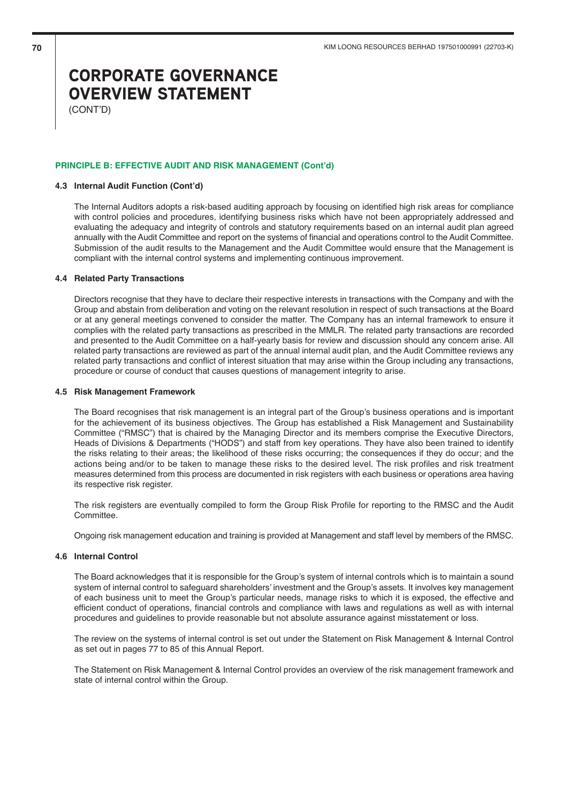(CONT'D)

## **PRINCIPLE B: EFFECTIVE AUDIT AND RISK MANAGEMENT (Cont'd)**

# **4.3 Internal Audit Function (Cont'd)**

The Internal Auditors adopts a risk-based auditing approach by focusing on identified high risk areas for compliance with control policies and procedures, identifying business risks which have not been appropriately addressed and evaluating the adequacy and integrity of controls and statutory requirements based on an internal audit plan agreed annually with the Audit Committee and report on the systems of financial and operations control to the Audit Committee. Submission of the audit results to the Management and the Audit Committee would ensure that the Management is compliant with the internal control systems and implementing continuous improvement.

### **4.4 Related Party Transactions**

Directors recognise that they have to declare their respective interests in transactions with the Company and with the Group and abstain from deliberation and voting on the relevant resolution in respect of such transactions at the Board or at any general meetings convened to consider the matter. The Company has an internal framework to ensure it complies with the related party transactions as prescribed in the MMLR. The related party transactions are recorded and presented to the Audit Committee on a half-yearly basis for review and discussion should any concern arise. All related party transactions are reviewed as part of the annual internal audit plan, and the Audit Committee reviews any related party transactions and conflict of interest situation that may arise within the Group including any transactions, procedure or course of conduct that causes questions of management integrity to arise.

### **4.5 Risk Management Framework**

The Board recognises that risk management is an integral part of the Group's business operations and is important for the achievement of its business objectives. The Group has established a Risk Management and Sustainability Committee ("RMSC") that is chaired by the Managing Director and its members comprise the Executive Directors, Heads of Divisions & Departments ("HODS") and staff from key operations. They have also been trained to identify the risks relating to their areas; the likelihood of these risks occurring; the consequences if they do occur; and the actions being and/or to be taken to manage these risks to the desired level. The risk profiles and risk treatment measures determined from this process are documented in risk registers with each business or operations area having its respective risk register.

The risk registers are eventually compiled to form the Group Risk Profile for reporting to the RMSC and the Audit Committee.

Ongoing risk management education and training is provided at Management and staff level by members of the RMSC.

## **4.6 Internal Control**

The Board acknowledges that it is responsible for the Group's system of internal controls which is to maintain a sound system of internal control to safeguard shareholders' investment and the Group's assets. It involves key management of each business unit to meet the Group's particular needs, manage risks to which it is exposed, the effective and efficient conduct of operations, financial controls and compliance with laws and regulations as well as with internal procedures and guidelines to provide reasonable but not absolute assurance against misstatement or loss.

The review on the systems of internal control is set out under the Statement on Risk Management & Internal Control as set out in pages 77 to 85 of this Annual Report.

The Statement on Risk Management & Internal Control provides an overview of the risk management framework and state of internal control within the Group.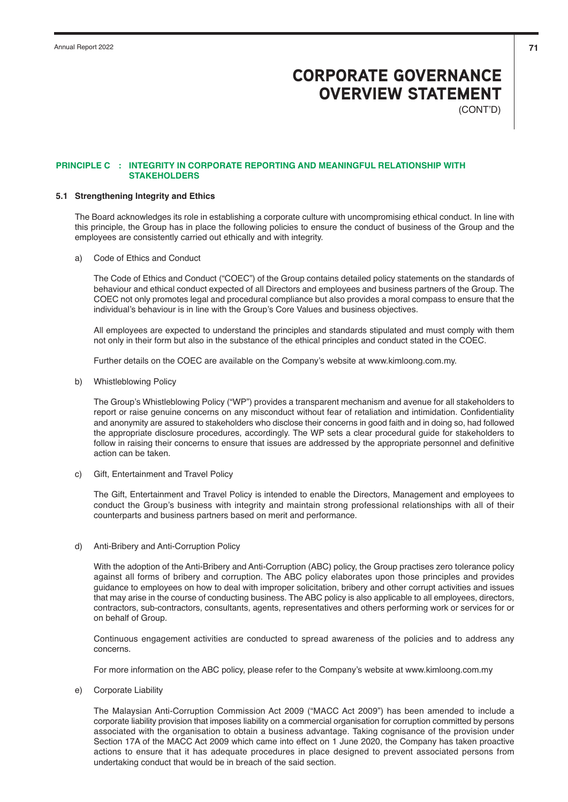(CONT'D)

## **PRINCIPLE C : INTEGRITY IN CORPORATE REPORTING AND MEANINGFUL RELATIONSHIP WITH STAKEHOLDERS**

## **5.1 Strengthening Integrity and Ethics**

The Board acknowledges its role in establishing a corporate culture with uncompromising ethical conduct. In line with this principle, the Group has in place the following policies to ensure the conduct of business of the Group and the employees are consistently carried out ethically and with integrity.

a) Code of Ethics and Conduct

The Code of Ethics and Conduct ("COEC") of the Group contains detailed policy statements on the standards of behaviour and ethical conduct expected of all Directors and employees and business partners of the Group. The COEC not only promotes legal and procedural compliance but also provides a moral compass to ensure that the individual's behaviour is in line with the Group's Core Values and business objectives.

All employees are expected to understand the principles and standards stipulated and must comply with them not only in their form but also in the substance of the ethical principles and conduct stated in the COEC.

Further details on the COEC are available on the Company's website at www.kimloong.com.my.

b) Whistleblowing Policy

The Group's Whistleblowing Policy ("WP") provides a transparent mechanism and avenue for all stakeholders to report or raise genuine concerns on any misconduct without fear of retaliation and intimidation. Confidentiality and anonymity are assured to stakeholders who disclose their concerns in good faith and in doing so, had followed the appropriate disclosure procedures, accordingly. The WP sets a clear procedural guide for stakeholders to follow in raising their concerns to ensure that issues are addressed by the appropriate personnel and definitive action can be taken.

c) Gift, Entertainment and Travel Policy

The Gift, Entertainment and Travel Policy is intended to enable the Directors, Management and employees to conduct the Group's business with integrity and maintain strong professional relationships with all of their counterparts and business partners based on merit and performance.

d) Anti-Bribery and Anti-Corruption Policy

With the adoption of the Anti-Bribery and Anti-Corruption (ABC) policy, the Group practises zero tolerance policy against all forms of bribery and corruption. The ABC policy elaborates upon those principles and provides guidance to employees on how to deal with improper solicitation, bribery and other corrupt activities and issues that may arise in the course of conducting business. The ABC policy is also applicable to all employees, directors, contractors, sub-contractors, consultants, agents, representatives and others performing work or services for or on behalf of Group.

Continuous engagement activities are conducted to spread awareness of the policies and to address any concerns.

For more information on the ABC policy, please refer to the Company's website at www.kimloong.com.my

e) Corporate Liability

The Malaysian Anti-Corruption Commission Act 2009 ("MACC Act 2009") has been amended to include a corporate liability provision that imposes liability on a commercial organisation for corruption committed by persons associated with the organisation to obtain a business advantage. Taking cognisance of the provision under Section 17A of the MACC Act 2009 which came into effect on 1 June 2020, the Company has taken proactive actions to ensure that it has adequate procedures in place designed to prevent associated persons from undertaking conduct that would be in breach of the said section.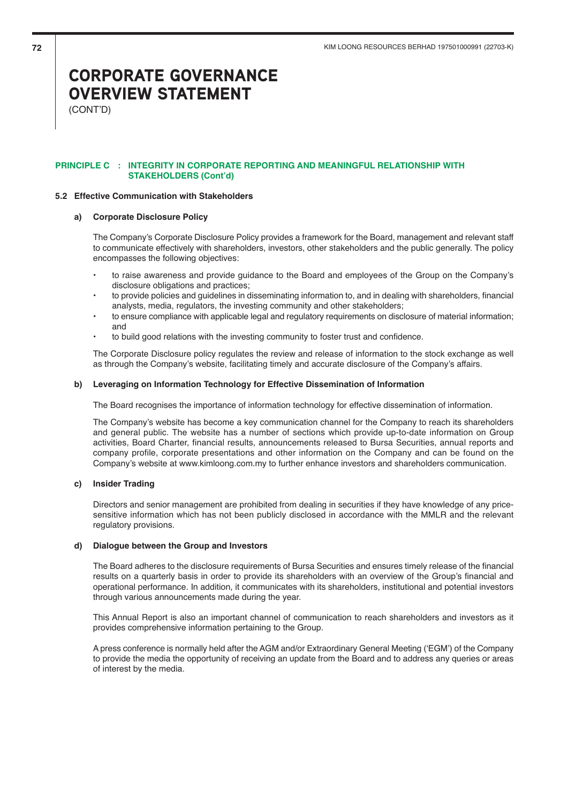(CONT'D)

## **PRINCIPLE C : INTEGRITY IN CORPORATE REPORTING AND MEANINGFUL RELATIONSHIP WITH STAKEHOLDERS (Cont'd)**

## **5.2 Effective Communication with Stakeholders**

## **a) Corporate Disclosure Policy**

The Company's Corporate Disclosure Policy provides a framework for the Board, management and relevant staff to communicate effectively with shareholders, investors, other stakeholders and the public generally. The policy encompasses the following objectives:

- to raise awareness and provide guidance to the Board and employees of the Group on the Company's disclosure obligations and practices;
- to provide policies and guidelines in disseminating information to, and in dealing with shareholders, financial analysts, media, regulators, the investing community and other stakeholders;
- to ensure compliance with applicable legal and regulatory requirements on disclosure of material information; and
- to build good relations with the investing community to foster trust and confidence.

The Corporate Disclosure policy regulates the review and release of information to the stock exchange as well as through the Company's website, facilitating timely and accurate disclosure of the Company's affairs.

### **b) Leveraging on Information Technology for Effective Dissemination of Information**

The Board recognises the importance of information technology for effective dissemination of information.

The Company's website has become a key communication channel for the Company to reach its shareholders and general public. The website has a number of sections which provide up-to-date information on Group activities, Board Charter, financial results, announcements released to Bursa Securities, annual reports and company profile, corporate presentations and other information on the Company and can be found on the Company's website at www.kimloong.com.my to further enhance investors and shareholders communication.

#### **c) Insider Trading**

Directors and senior management are prohibited from dealing in securities if they have knowledge of any pricesensitive information which has not been publicly disclosed in accordance with the MMLR and the relevant regulatory provisions.

#### **d) Dialogue between the Group and Investors**

The Board adheres to the disclosure requirements of Bursa Securities and ensures timely release of the financial results on a quarterly basis in order to provide its shareholders with an overview of the Group's financial and operational performance. In addition, it communicates with its shareholders, institutional and potential investors through various announcements made during the year.

This Annual Report is also an important channel of communication to reach shareholders and investors as it provides comprehensive information pertaining to the Group.

A press conference is normally held after the AGM and/or Extraordinary General Meeting ('EGM') of the Company to provide the media the opportunity of receiving an update from the Board and to address any queries or areas of interest by the media.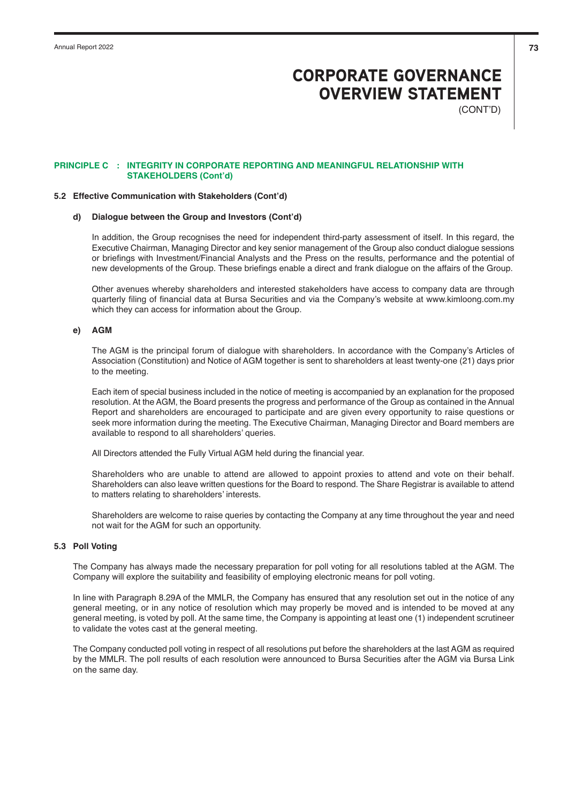(CONT'D)

### **PRINCIPLE C : INTEGRITY IN CORPORATE REPORTING AND MEANINGFUL RELATIONSHIP WITH STAKEHOLDERS (Cont'd)**

#### **5.2 Effective Communication with Stakeholders (Cont'd)**

### **d) Dialogue between the Group and Investors (Cont'd)**

In addition, the Group recognises the need for independent third-party assessment of itself. In this regard, the Executive Chairman, Managing Director and key senior management of the Group also conduct dialogue sessions or briefings with Investment/Financial Analysts and the Press on the results, performance and the potential of new developments of the Group. These briefings enable a direct and frank dialogue on the affairs of the Group.

Other avenues whereby shareholders and interested stakeholders have access to company data are through quarterly filing of financial data at Bursa Securities and via the Company's website at www.kimloong.com.my which they can access for information about the Group.

# **e) AGM**

The AGM is the principal forum of dialogue with shareholders. In accordance with the Company's Articles of Association (Constitution) and Notice of AGM together is sent to shareholders at least twenty-one (21) days prior to the meeting.

Each item of special business included in the notice of meeting is accompanied by an explanation for the proposed resolution. At the AGM, the Board presents the progress and performance of the Group as contained in the Annual Report and shareholders are encouraged to participate and are given every opportunity to raise questions or seek more information during the meeting. The Executive Chairman, Managing Director and Board members are available to respond to all shareholders' queries.

All Directors attended the Fully Virtual AGM held during the financial year.

Shareholders who are unable to attend are allowed to appoint proxies to attend and vote on their behalf. Shareholders can also leave written questions for the Board to respond. The Share Registrar is available to attend to matters relating to shareholders' interests.

Shareholders are welcome to raise queries by contacting the Company at any time throughout the year and need not wait for the AGM for such an opportunity.

# **5.3 Poll Voting**

The Company has always made the necessary preparation for poll voting for all resolutions tabled at the AGM. The Company will explore the suitability and feasibility of employing electronic means for poll voting.

In line with Paragraph 8.29A of the MMLR, the Company has ensured that any resolution set out in the notice of any general meeting, or in any notice of resolution which may properly be moved and is intended to be moved at any general meeting, is voted by poll. At the same time, the Company is appointing at least one (1) independent scrutineer to validate the votes cast at the general meeting.

The Company conducted poll voting in respect of all resolutions put before the shareholders at the last AGM as required by the MMLR. The poll results of each resolution were announced to Bursa Securities after the AGM via Bursa Link on the same day.